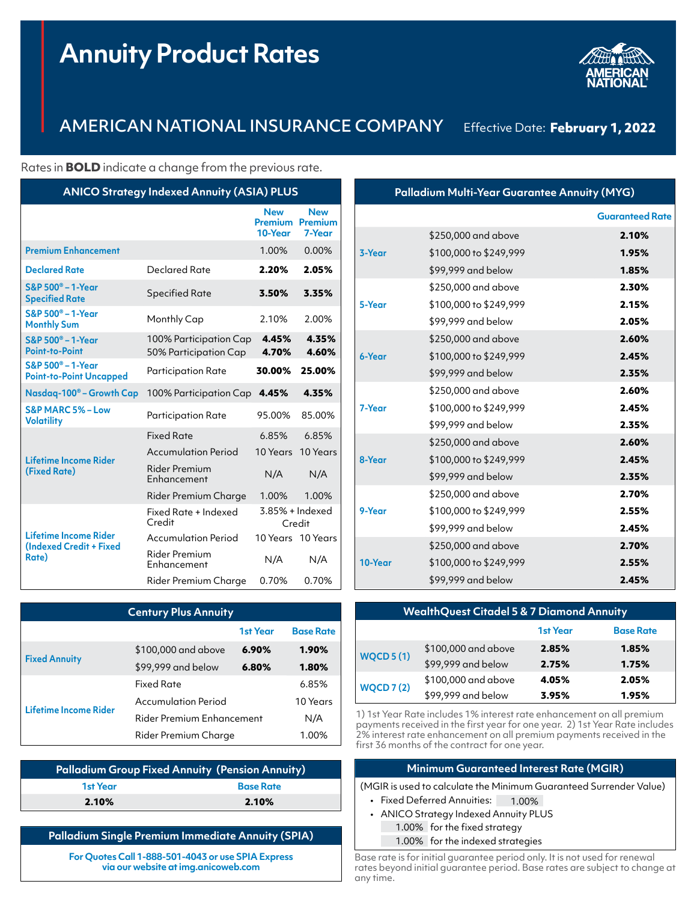# **Annuity Product Rates**



## AMERICAN NATIONAL INSURANCE COMPANY Effective Date: **February 1, 2022**

Rates in **BOLD** indicate a change from the previous rate.

| <b>ANICO Strategy Indexed Annuity (ASIA) PLUS</b>             |                                                 |                                         |                                        |
|---------------------------------------------------------------|-------------------------------------------------|-----------------------------------------|----------------------------------------|
|                                                               |                                                 | <b>New</b><br><b>Premium</b><br>10-Year | <b>New</b><br><b>Premium</b><br>7-Year |
| <b>Premium Enhancement</b>                                    |                                                 | 1.00%                                   | 0.00%                                  |
| <b>Declared Rate</b>                                          | Declared Rate                                   | 2.20%                                   | 2.05%                                  |
| S&P 500 <sup>®</sup> - 1-Year<br><b>Specified Rate</b>        | Specified Rate                                  | 3.50%                                   | 3.35%                                  |
| $S\&P 500^\circ - 1-Year$<br><b>Monthly Sum</b>               | Monthly Cap                                     | 2.10%                                   | 2.00%                                  |
| S&P 500 <sup>®</sup> - 1-Year<br><b>Point-to-Point</b>        | 100% Participation Cap<br>50% Participation Cap | 4.45%<br>4.70%                          | 4.35%<br>4.60%                         |
| $S\&P 500^{\circ} - 1-Year$<br><b>Point-to-Point Uncapped</b> | <b>Participation Rate</b>                       | 30.00%                                  | 25.00%                                 |
| Nasdaq-100 <sup>®</sup> – Growth Cap                          | 100% Participation Cap                          | 4.45%                                   | 4.35%                                  |
| S&P MARC 5% - Low<br><b>Volatility</b>                        | Participation Rate                              | 95.00%                                  | 85.00%                                 |
|                                                               | <b>Fixed Rate</b>                               | 6.85%                                   | 6.85%                                  |
| Lifetime Income Rider<br>(Fixed Rate)                         | <b>Accumulation Period</b>                      | 10 Years                                | 10 Years                               |
|                                                               | Rider Premium<br>Enhancement                    | N/A                                     | N/A                                    |
|                                                               | Rider Premium Charge                            | 1,00%                                   | 1.00%                                  |
|                                                               | Fixed Rate + Indexed<br>Credit                  | 3.85% + Indexed<br>Credit               |                                        |
| Lifetime Income Rider<br>(Indexed Credit + Fixed<br>Rate)     | <b>Accumulation Period</b>                      |                                         | 10 Years 10 Years                      |
|                                                               | <b>Rider Premium</b><br>Enhancement             | N/A                                     | N/A                                    |
|                                                               | Rider Premium Charae                            | 0.70%                                   | 0.70%                                  |

|         |                        | <b>Guaranteed Rate</b> |
|---------|------------------------|------------------------|
|         | \$250,000 and above    | 2.10%                  |
| 3-Year  | \$100,000 to \$249,999 | 1.95%                  |
|         | \$99,999 and below     | 1.85%                  |
|         | \$250,000 and above    | 2.30%                  |
| 5-Year  | \$100,000 to \$249,999 | 2.15%                  |
|         | \$99,999 and below     | 2.05%                  |
|         | \$250,000 and above    | 2.60%                  |
| 6-Year  | \$100,000 to \$249,999 | 2.45%                  |
|         | \$99,999 and below     | 2.35%                  |
|         | \$250,000 and above    | 2.60%                  |
| 7-Year  | \$100,000 to \$249,999 | 2.45%                  |
|         | \$99,999 and below     | 2.35%                  |
|         | \$250,000 and above    | 2.60%                  |
| 8-Year  | \$100,000 to \$249,999 | 2.45%                  |
|         | \$99,999 and below     | 2.35%                  |
|         | \$250,000 and above    | 2.70%                  |
| 9-Year  | \$100,000 to \$249,999 | 2.55%                  |
|         | \$99,999 and below     | 2.45%                  |
|         | \$250,000 and above    | 2.70%                  |
| 10-Year | \$100,000 to \$249,999 | 2.55%                  |
|         | \$99,999 and below     | 2.45%                  |
|         |                        |                        |

**Palladium Multi-Year Guarantee Annuity (MYG)**

| <b>Century Plus Annuity</b>  |                                  |                 |                  |
|------------------------------|----------------------------------|-----------------|------------------|
|                              |                                  | <b>1st Year</b> | <b>Base Rate</b> |
|                              | \$100,000 and above              | 6.90%           | 1.90%            |
| <b>Fixed Annuity</b>         | \$99,999 and below               | 6.80%           | 1.80%            |
| <b>Lifetime Income Rider</b> | <b>Fixed Rate</b>                |                 | 6.85%            |
|                              | <b>Accumulation Period</b>       |                 | 10 Years         |
|                              | <b>Rider Premium Enhancement</b> |                 | N/A              |
|                              | Rider Premium Charge             |                 | 1.00%            |

|          | <b>Palladium Group Fixed Annuity (Pension Annuity)</b> |
|----------|--------------------------------------------------------|
| 1st Year | <b>Base Rate</b>                                       |
| 2.10%    | 2.10%                                                  |

#### **Palladium Single Premium Immediate Annuity (SPIA)**

**For Quotes Call 1-888-501-4043 or use SPIA Express via our website at [img.anicoweb.com](http://img.anicoweb.com)**

| <b>WealthQuest Citadel 5 &amp; 7 Diamond Annuity</b> |                     |          |                  |
|------------------------------------------------------|---------------------|----------|------------------|
|                                                      |                     | 1st Year | <b>Base Rate</b> |
| <b>WQCD 5 (1)</b>                                    | \$100,000 and above | 2.85%    | 1.85%            |
|                                                      | \$99,999 and below  | 2.75%    | 1.75%            |
| <b>WQCD 7(2)</b>                                     | \$100,000 and above | 4.05%    | 2.05%            |
|                                                      | \$99,999 and below  | 3.95%    | 1.95%            |

1) 1st Year Rate includes 1% interest rate enhancement on all premium payments received in the first year for one year. 2) 1st Year Rate includes 2% interest rate enhancement on all premium payments received in the first 36 months of the contract for one year.

#### **Minimum Guaranteed Interest Rate (MGIR)**

(MGIR is used to calculate the Minimum Guaranteed Surrender Value)

- Fixed Deferred Annuities: 1.00%
- ANICO Strategy Indexed Annuity PLUS
	- 1.00% for the fixed strategy
	- 1.00% for the indexed strategies

Base rate is for initial guarantee period only. It is not used for renewal rates beyond initial guarantee period. Base rates are subject to change at any time.